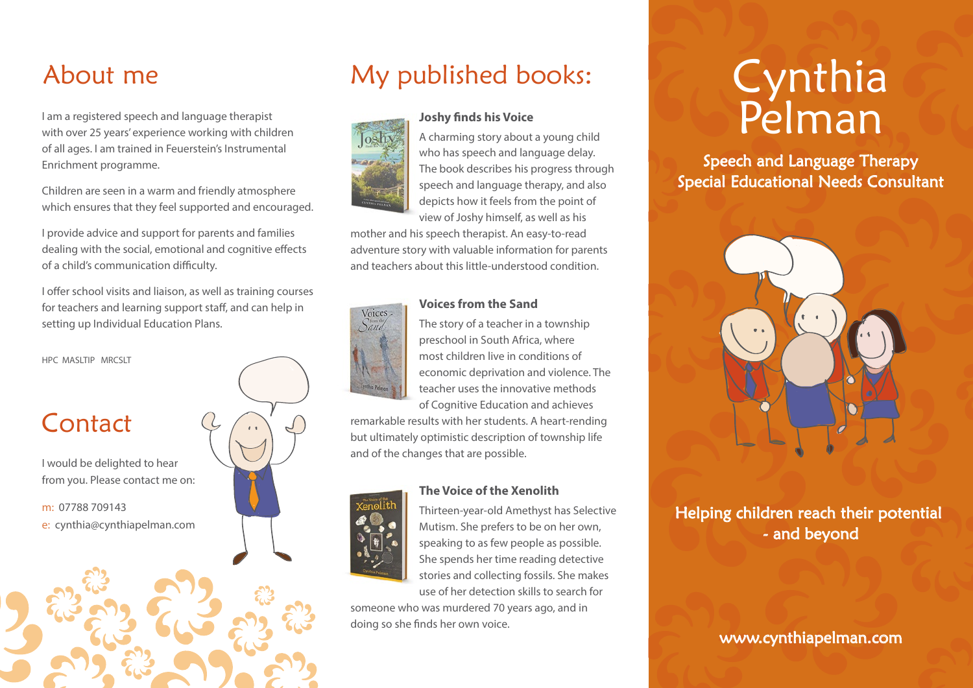## About me

I am a registered speech and language therapist with over 25 years' experience working with children of all ages. I am trained in Feuerstein's Instrumental Enrichment programme.

Children are seen in a warm and friendly atmosphere which ensures that they feel supported and encouraged.

I provide advice and support for parents and families dealing with the social, emotional and cognitive effects of a child's communication difficulty.

I offer school visits and liaison, as well as training courses for teachers and learning support staff, and can help in setting up Individual Education Plans.



# My published books:

**Joshy finds his Voice** 



A charming story about a young child who has speech and language delay. The book describes his progress through speech and language therapy, and also depicts how it feels from the point of view of Joshy himself, as well as his

mother and his speech therapist. An easy-to-read adventure story with valuable information for parents and teachers about this little-understood condition.



#### **Voices from the Sand**

The story of a teacher in a township preschool in South Africa, where most children live in conditions of economic deprivation and violence. The teacher uses the innovative methods of Cognitive Education and achieves

remarkable results with her students. A heart-rending but ultimately optimistic description of township life and of the changes that are possible.



**The Voice of the Xenolith**

Thirteen-year-old Amethyst has Selective Mutism. She prefers to be on her own, speaking to as few people as possible. She spends her time reading detective stories and collecting fossils. She makes use of her detection skills to search for

someone who was murdered 70 years ago, and in doing so she finds her own voice.

# Cynthia Pelman

Speech and Language Therapy Special Educational Needs Consultant



Helping children reach their potential - and beyond

#### www.cynthiapelman.com